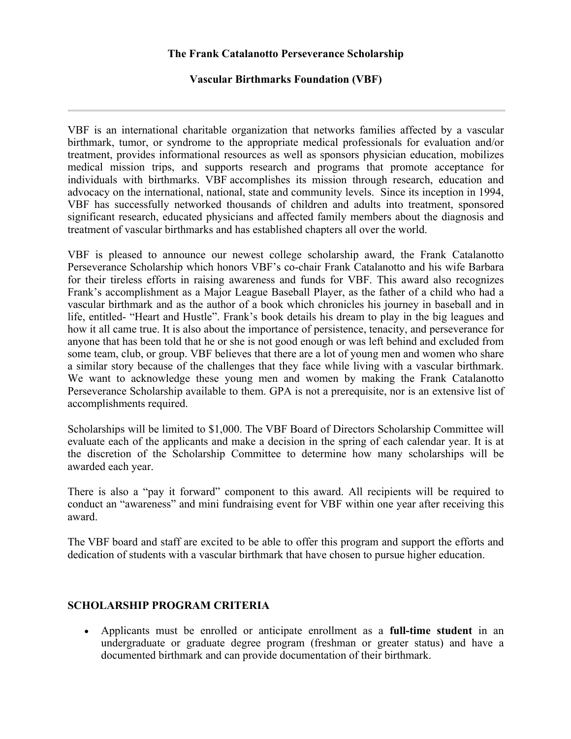## **The Frank Catalanotto Perseverance Scholarship**

## **Vascular Birthmarks Foundation (VBF)**

VBF is an international charitable organization that networks families affected by a vascular birthmark, tumor, or syndrome to the appropriate medical professionals for evaluation and/or treatment, provides informational resources as well as sponsors physician education, mobilizes medical mission trips, and supports research and programs that promote acceptance for individuals with birthmarks. VBF accomplishes its mission through research, education and advocacy on the international, national, state and community levels. Since its inception in 1994, VBF has successfully networked thousands of children and adults into treatment, sponsored significant research, educated physicians and affected family members about the diagnosis and treatment of vascular birthmarks and has established chapters all over the world.

VBF is pleased to announce our newest college scholarship award, the Frank Catalanotto Perseverance Scholarship which honors VBF's co-chair Frank Catalanotto and his wife Barbara for their tireless efforts in raising awareness and funds for VBF. This award also recognizes Frank's accomplishment as a Major League Baseball Player, as the father of a child who had a vascular birthmark and as the author of a book which chronicles his journey in baseball and in life, entitled- "Heart and Hustle". Frank's book details his dream to play in the big leagues and how it all came true. It is also about the importance of persistence, tenacity, and perseverance for anyone that has been told that he or she is not good enough or was left behind and excluded from some team, club, or group. VBF believes that there are a lot of young men and women who share a similar story because of the challenges that they face while living with a vascular birthmark. We want to acknowledge these young men and women by making the Frank Catalanotto Perseverance Scholarship available to them. GPA is not a prerequisite, nor is an extensive list of accomplishments required.

Scholarships will be limited to \$1,000. The VBF Board of Directors Scholarship Committee will evaluate each of the applicants and make a decision in the spring of each calendar year. It is at the discretion of the Scholarship Committee to determine how many scholarships will be awarded each year.

There is also a "pay it forward" component to this award. All recipients will be required to conduct an "awareness" and mini fundraising event for VBF within one year after receiving this award.

The VBF board and staff are excited to be able to offer this program and support the efforts and dedication of students with a vascular birthmark that have chosen to pursue higher education.

## **SCHOLARSHIP PROGRAM CRITERIA**

• Applicants must be enrolled or anticipate enrollment as a **full-time student** in an undergraduate or graduate degree program (freshman or greater status) and have a documented birthmark and can provide documentation of their birthmark.